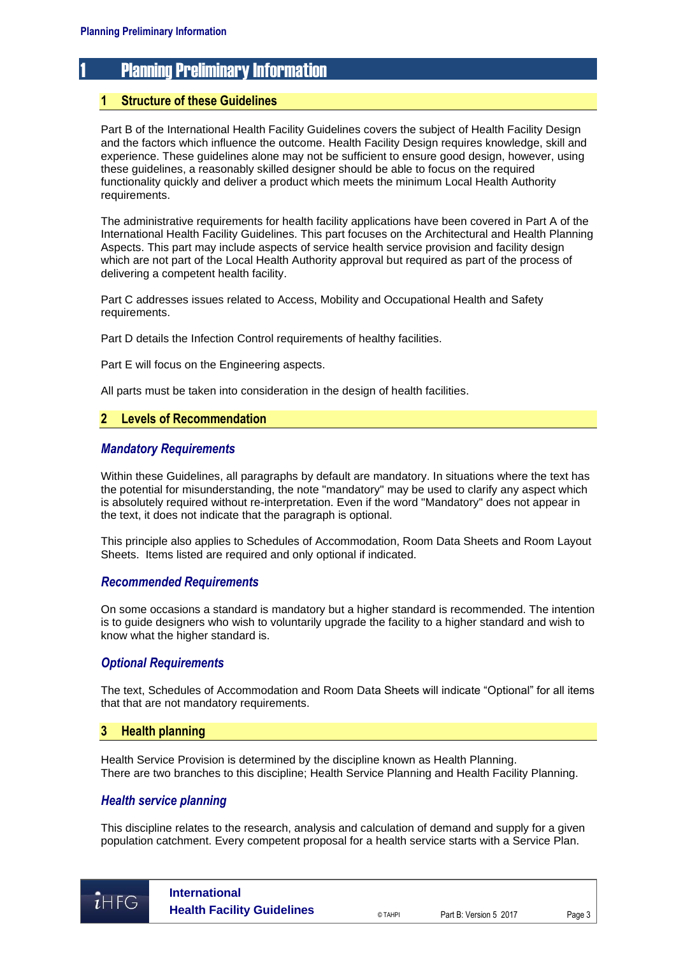# 1 Planning Preliminary Information

# **1 Structure of these Guidelines**

Part B of the International Health Facility Guidelines covers the subject of Health Facility Design and the factors which influence the outcome. Health Facility Design requires knowledge, skill and experience. These guidelines alone may not be sufficient to ensure good design, however, using these guidelines, a reasonably skilled designer should be able to focus on the required functionality quickly and deliver a product which meets the minimum Local Health Authority requirements.

The administrative requirements for health facility applications have been covered in Part A of the International Health Facility Guidelines. This part focuses on the Architectural and Health Planning Aspects. This part may include aspects of service health service provision and facility design which are not part of the Local Health Authority approval but required as part of the process of delivering a competent health facility.

Part C addresses issues related to Access, Mobility and Occupational Health and Safety requirements.

Part D details the Infection Control requirements of healthy facilities.

Part E will focus on the Engineering aspects.

All parts must be taken into consideration in the design of health facilities.

# **2 Levels of Recommendation**

# *Mandatory Requirements*

Within these Guidelines, all paragraphs by default are mandatory. In situations where the text has the potential for misunderstanding, the note "mandatory" may be used to clarify any aspect which is absolutely required without re-interpretation. Even if the word "Mandatory" does not appear in the text, it does not indicate that the paragraph is optional.

This principle also applies to Schedules of Accommodation, Room Data Sheets and Room Layout Sheets. Items listed are required and only optional if indicated.

#### *Recommended Requirements*

On some occasions a standard is mandatory but a higher standard is recommended. The intention is to guide designers who wish to voluntarily upgrade the facility to a higher standard and wish to know what the higher standard is.

### *Optional Requirements*

The text, Schedules of Accommodation and Room Data Sheets will indicate "Optional" for all items that that are not mandatory requirements.

#### **3 Health planning**

Health Service Provision is determined by the discipline known as Health Planning. There are two branches to this discipline; Health Service Planning and Health Facility Planning.

## *Health service planning*

This discipline relates to the research, analysis and calculation of demand and supply for a given population catchment. Every competent proposal for a health service starts with a Service Plan.

 $\overline{i}$ HFG

**International Health Facility Guidelines**  $\overline{Q}$ <sub>DTAHPI</sub> Part B: Version 5 2017 Page 3